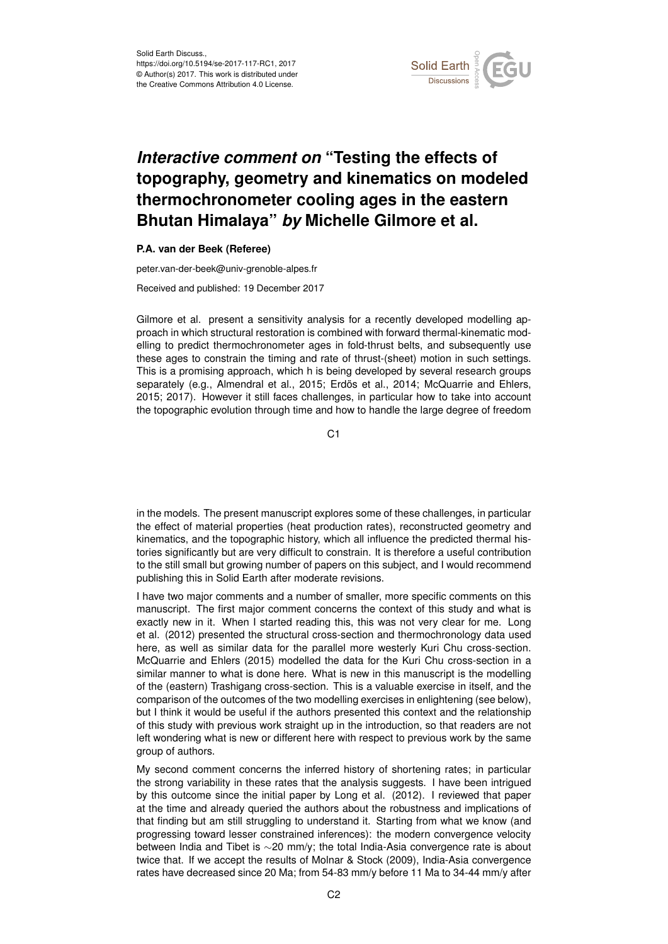

## *Interactive comment on* **"Testing the effects of topography, geometry and kinematics on modeled thermochronometer cooling ages in the eastern Bhutan Himalaya"** *by* **Michelle Gilmore et al.**

## **P.A. van der Beek (Referee)**

peter.van-der-beek@univ-grenoble-alpes.fr

Received and published: 19 December 2017

Gilmore et al. present a sensitivity analysis for a recently developed modelling approach in which structural restoration is combined with forward thermal-kinematic modelling to predict thermochronometer ages in fold-thrust belts, and subsequently use these ages to constrain the timing and rate of thrust-(sheet) motion in such settings. This is a promising approach, which h is being developed by several research groups separately (e.g., Almendral et al., 2015; Erdös et al., 2014; McQuarrie and Ehlers, 2015; 2017). However it still faces challenges, in particular how to take into account the topographic evolution through time and how to handle the large degree of freedom

C<sub>1</sub>

in the models. The present manuscript explores some of these challenges, in particular the effect of material properties (heat production rates), reconstructed geometry and kinematics, and the topographic history, which all influence the predicted thermal histories significantly but are very difficult to constrain. It is therefore a useful contribution to the still small but growing number of papers on this subject, and I would recommend publishing this in Solid Earth after moderate revisions.

I have two major comments and a number of smaller, more specific comments on this manuscript. The first major comment concerns the context of this study and what is exactly new in it. When I started reading this, this was not very clear for me. Long et al. (2012) presented the structural cross-section and thermochronology data used here, as well as similar data for the parallel more westerly Kuri Chu cross-section. McQuarrie and Ehlers (2015) modelled the data for the Kuri Chu cross-section in a similar manner to what is done here. What is new in this manuscript is the modelling of the (eastern) Trashigang cross-section. This is a valuable exercise in itself, and the comparison of the outcomes of the two modelling exercises in enlightening (see below), but I think it would be useful if the authors presented this context and the relationship of this study with previous work straight up in the introduction, so that readers are not left wondering what is new or different here with respect to previous work by the same group of authors.

My second comment concerns the inferred history of shortening rates; in particular the strong variability in these rates that the analysis suggests. I have been intrigued by this outcome since the initial paper by Long et al. (2012). I reviewed that paper at the time and already queried the authors about the robustness and implications of that finding but am still struggling to understand it. Starting from what we know (and progressing toward lesser constrained inferences): the modern convergence velocity between India and Tibet is ∼20 mm/y; the total India-Asia convergence rate is about twice that. If we accept the results of Molnar & Stock (2009), India-Asia convergence rates have decreased since 20 Ma; from 54-83 mm/y before 11 Ma to 34-44 mm/y after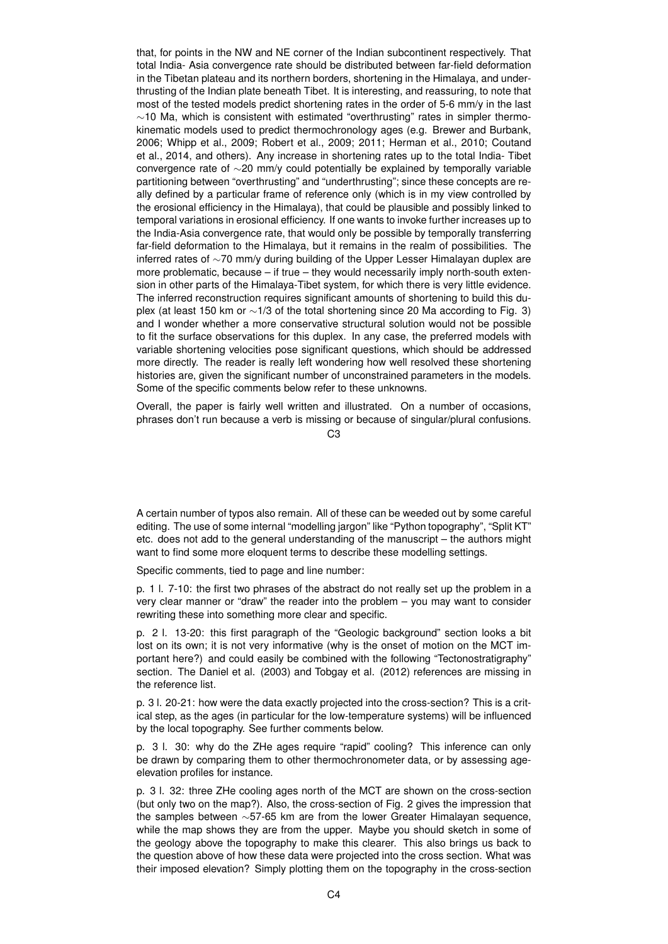that, for points in the NW and NE corner of the Indian subcontinent respectively. That total India- Asia convergence rate should be distributed between far-field deformation in the Tibetan plateau and its northern borders, shortening in the Himalaya, and underthrusting of the Indian plate beneath Tibet. It is interesting, and reassuring, to note that most of the tested models predict shortening rates in the order of 5-6 mm/y in the last ∼10 Ma, which is consistent with estimated "overthrusting" rates in simpler thermokinematic models used to predict thermochronology ages (e.g. Brewer and Burbank, 2006; Whipp et al., 2009; Robert et al., 2009; 2011; Herman et al., 2010; Coutand et al., 2014, and others). Any increase in shortening rates up to the total India- Tibet convergence rate of ∼20 mm/y could potentially be explained by temporally variable partitioning between "overthrusting" and "underthrusting"; since these concepts are really defined by a particular frame of reference only (which is in my view controlled by the erosional efficiency in the Himalaya), that could be plausible and possibly linked to temporal variations in erosional efficiency. If one wants to invoke further increases up to the India-Asia convergence rate, that would only be possible by temporally transferring far-field deformation to the Himalaya, but it remains in the realm of possibilities. The inferred rates of ∼70 mm/y during building of the Upper Lesser Himalayan duplex are more problematic, because – if true – they would necessarily imply north-south extension in other parts of the Himalaya-Tibet system, for which there is very little evidence. The inferred reconstruction requires significant amounts of shortening to build this duplex (at least 150 km or ∼1/3 of the total shortening since 20 Ma according to Fig. 3) and I wonder whether a more conservative structural solution would not be possible to fit the surface observations for this duplex. In any case, the preferred models with variable shortening velocities pose significant questions, which should be addressed more directly. The reader is really left wondering how well resolved these shortening histories are, given the significant number of unconstrained parameters in the models. Some of the specific comments below refer to these unknowns.

Overall, the paper is fairly well written and illustrated. On a number of occasions, phrases don't run because a verb is missing or because of singular/plural confusions.

 $C<sub>3</sub>$ 

A certain number of typos also remain. All of these can be weeded out by some careful editing. The use of some internal "modelling jargon" like "Python topography", "Split KT" etc. does not add to the general understanding of the manuscript – the authors might want to find some more eloquent terms to describe these modelling settings.

Specific comments, tied to page and line number:

p. 1 l. 7-10: the first two phrases of the abstract do not really set up the problem in a very clear manner or "draw" the reader into the problem – you may want to consider rewriting these into something more clear and specific.

p. 2 l. 13-20: this first paragraph of the "Geologic background" section looks a bit lost on its own; it is not very informative (why is the onset of motion on the MCT important here?) and could easily be combined with the following "Tectonostratigraphy" section. The Daniel et al. (2003) and Tobgay et al. (2012) references are missing in the reference list.

p. 3 l. 20-21: how were the data exactly projected into the cross-section? This is a critical step, as the ages (in particular for the low-temperature systems) will be influenced by the local topography. See further comments below.

p. 3 l. 30: why do the ZHe ages require "rapid" cooling? This inference can only be drawn by comparing them to other thermochronometer data, or by assessing ageelevation profiles for instance.

p. 3 l. 32: three ZHe cooling ages north of the MCT are shown on the cross-section (but only two on the map?). Also, the cross-section of Fig. 2 gives the impression that the samples between ∼57-65 km are from the lower Greater Himalayan sequence, while the map shows they are from the upper. Maybe you should sketch in some of the geology above the topography to make this clearer. This also brings us back to the question above of how these data were projected into the cross section. What was their imposed elevation? Simply plotting them on the topography in the cross-section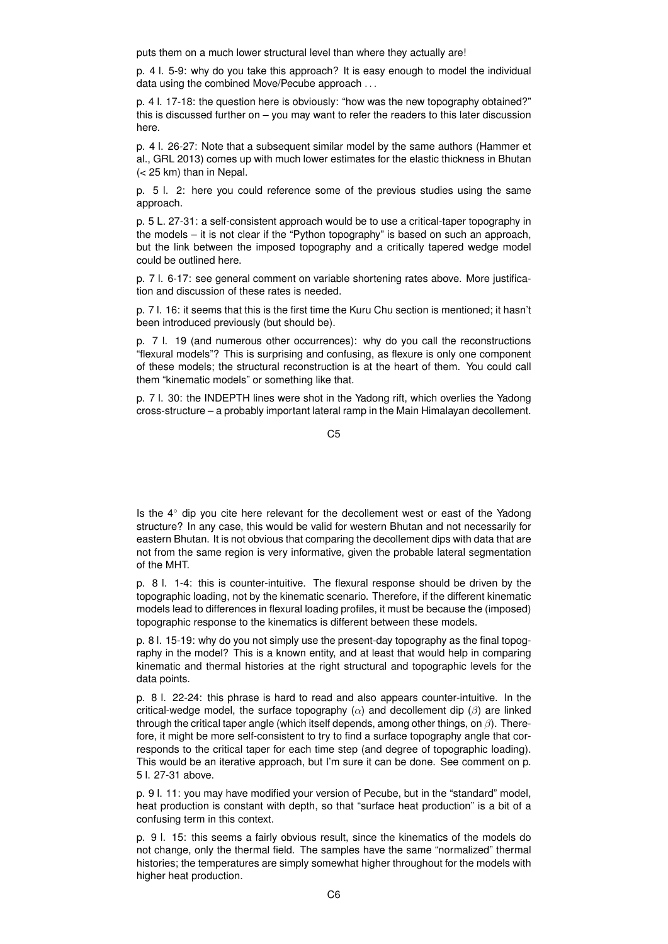puts them on a much lower structural level than where they actually are!

p. 4 l. 5-9: why do you take this approach? It is easy enough to model the individual data using the combined Move/Pecube approach . . .

p. 4 l. 17-18: the question here is obviously: "how was the new topography obtained?" this is discussed further on – you may want to refer the readers to this later discussion here.

p. 4 l. 26-27: Note that a subsequent similar model by the same authors (Hammer et al., GRL 2013) comes up with much lower estimates for the elastic thickness in Bhutan (< 25 km) than in Nepal.

p. 5 l. 2: here you could reference some of the previous studies using the same approach.

p. 5 L. 27-31: a self-consistent approach would be to use a critical-taper topography in the models – it is not clear if the "Python topography" is based on such an approach, but the link between the imposed topography and a critically tapered wedge model could be outlined here.

p. 7 l. 6-17: see general comment on variable shortening rates above. More justification and discussion of these rates is needed.

p. 7 l. 16: it seems that this is the first time the Kuru Chu section is mentioned; it hasn't been introduced previously (but should be).

p. 7 l. 19 (and numerous other occurrences): why do you call the reconstructions "flexural models"? This is surprising and confusing, as flexure is only one component of these models; the structural reconstruction is at the heart of them. You could call them "kinematic models" or something like that.

p. 7 l. 30: the INDEPTH lines were shot in the Yadong rift, which overlies the Yadong cross-structure – a probably important lateral ramp in the Main Himalayan decollement.

 $C<sub>5</sub>$ 

Is the 4◦ dip you cite here relevant for the decollement west or east of the Yadong structure? In any case, this would be valid for western Bhutan and not necessarily for eastern Bhutan. It is not obvious that comparing the decollement dips with data that are not from the same region is very informative, given the probable lateral segmentation of the MHT.

p. 8 l. 1-4: this is counter-intuitive. The flexural response should be driven by the topographic loading, not by the kinematic scenario. Therefore, if the different kinematic models lead to differences in flexural loading profiles, it must be because the (imposed) topographic response to the kinematics is different between these models.

p. 8 l. 15-19: why do you not simply use the present-day topography as the final topography in the model? This is a known entity, and at least that would help in comparing kinematic and thermal histories at the right structural and topographic levels for the data points.

p. 8 l. 22-24: this phrase is hard to read and also appears counter-intuitive. In the critical-wedge model, the surface topography  $(\alpha)$  and decollement dip  $(\beta)$  are linked through the critical taper angle (which itself depends, among other things, on  $\beta$ ). Therefore, it might be more self-consistent to try to find a surface topography angle that corresponds to the critical taper for each time step (and degree of topographic loading). This would be an iterative approach, but I'm sure it can be done. See comment on p. 5 l. 27-31 above.

p. 9 l. 11: you may have modified your version of Pecube, but in the "standard" model, heat production is constant with depth, so that "surface heat production" is a bit of a confusing term in this context.

p. 9 l. 15: this seems a fairly obvious result, since the kinematics of the models do not change, only the thermal field. The samples have the same "normalized" thermal histories; the temperatures are simply somewhat higher throughout for the models with higher heat production.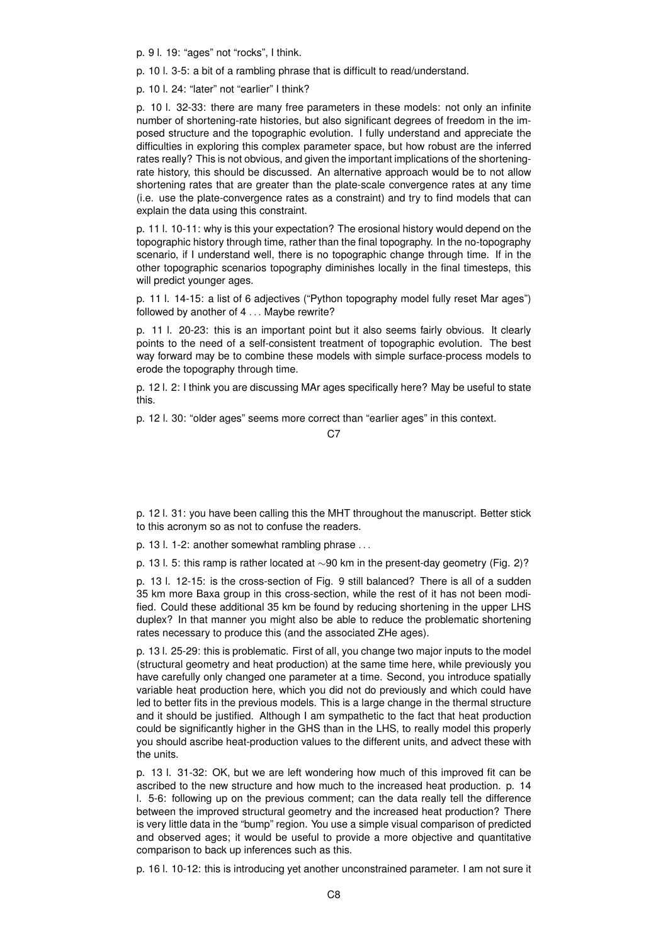p. 9 l. 19: "ages" not "rocks", I think.

p. 10 l. 3-5: a bit of a rambling phrase that is difficult to read/understand.

p. 10 l. 24: "later" not "earlier" I think?

p. 10 l. 32-33: there are many free parameters in these models: not only an infinite number of shortening-rate histories, but also significant degrees of freedom in the imposed structure and the topographic evolution. I fully understand and appreciate the difficulties in exploring this complex parameter space, but how robust are the inferred rates really? This is not obvious, and given the important implications of the shorteningrate history, this should be discussed. An alternative approach would be to not allow shortening rates that are greater than the plate-scale convergence rates at any time (i.e. use the plate-convergence rates as a constraint) and try to find models that can explain the data using this constraint.

p. 11 l. 10-11: why is this your expectation? The erosional history would depend on the topographic history through time, rather than the final topography. In the no-topography scenario, if I understand well, there is no topographic change through time. If in the other topographic scenarios topography diminishes locally in the final timesteps, this will predict younger ages.

p. 11 l. 14-15: a list of 6 adjectives ("Python topography model fully reset Mar ages") followed by another of 4 . . . Maybe rewrite?

p. 11 l. 20-23: this is an important point but it also seems fairly obvious. It clearly points to the need of a self-consistent treatment of topographic evolution. The best way forward may be to combine these models with simple surface-process models to erode the topography through time.

p. 12 l. 2: I think you are discussing MAr ages specifically here? May be useful to state this.

p. 12 l. 30: "older ages" seems more correct than "earlier ages" in this context.

C<sub>7</sub>

p. 12 l. 31: you have been calling this the MHT throughout the manuscript. Better stick to this acronym so as not to confuse the readers.

p. 13 l. 1-2: another somewhat rambling phrase . . .

p. 13 l. 5: this ramp is rather located at ∼90 km in the present-day geometry (Fig. 2)?

p. 13 l. 12-15: is the cross-section of Fig. 9 still balanced? There is all of a sudden 35 km more Baxa group in this cross-section, while the rest of it has not been modified. Could these additional 35 km be found by reducing shortening in the upper LHS duplex? In that manner you might also be able to reduce the problematic shortening rates necessary to produce this (and the associated ZHe ages).

p. 13 l. 25-29: this is problematic. First of all, you change two major inputs to the model (structural geometry and heat production) at the same time here, while previously you have carefully only changed one parameter at a time. Second, you introduce spatially variable heat production here, which you did not do previously and which could have led to better fits in the previous models. This is a large change in the thermal structure and it should be justified. Although I am sympathetic to the fact that heat production could be significantly higher in the GHS than in the LHS, to really model this properly you should ascribe heat-production values to the different units, and advect these with the units.

p. 13 l. 31-32: OK, but we are left wondering how much of this improved fit can be ascribed to the new structure and how much to the increased heat production. p. 14 l. 5-6: following up on the previous comment; can the data really tell the difference between the improved structural geometry and the increased heat production? There is very little data in the "bump" region. You use a simple visual comparison of predicted and observed ages; it would be useful to provide a more objective and quantitative comparison to back up inferences such as this.

p. 16 l. 10-12: this is introducing yet another unconstrained parameter. I am not sure it